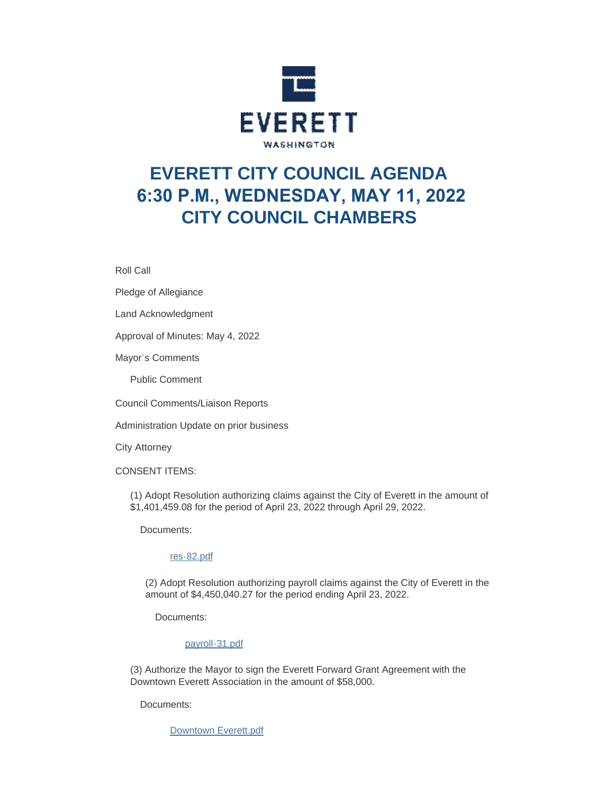

# **EVERETT CITY COUNCIL AGENDA 6:30 P.M., WEDNESDAY, MAY 11, 2022 CITY COUNCIL CHAMBERS**

Roll Call

Pledge of Allegiance

Land Acknowledgment

Approval of Minutes: May 4, 2022

Mayor's Comments

Public Comment

Council Comments/Liaison Reports

Administration Update on prior business

City Attorney

CONSENT ITEMS:

(1) Adopt Resolution authorizing claims against the City of Everett in the amount of \$1,401,459.08 for the period of April 23, 2022 through April 29, 2022.

Documents:

#### [res-82.pdf](https://www.everettwa.gov/AgendaCenter/ViewFile/Item/13721?fileID=80864)

(2) Adopt Resolution authorizing payroll claims against the City of Everett in the amount of \$4,450,040.27 for the period ending April 23, 2022.

Documents:

#### [payroll-31.pdf](https://www.everettwa.gov/AgendaCenter/ViewFile/Item/13722?fileID=80865)

(3) Authorize the Mayor to sign the Everett Forward Grant Agreement with the Downtown Everett Association in the amount of \$58,000.

Documents:

[Downtown Everett.pdf](https://www.everettwa.gov/AgendaCenter/ViewFile/Item/13723?fileID=80866)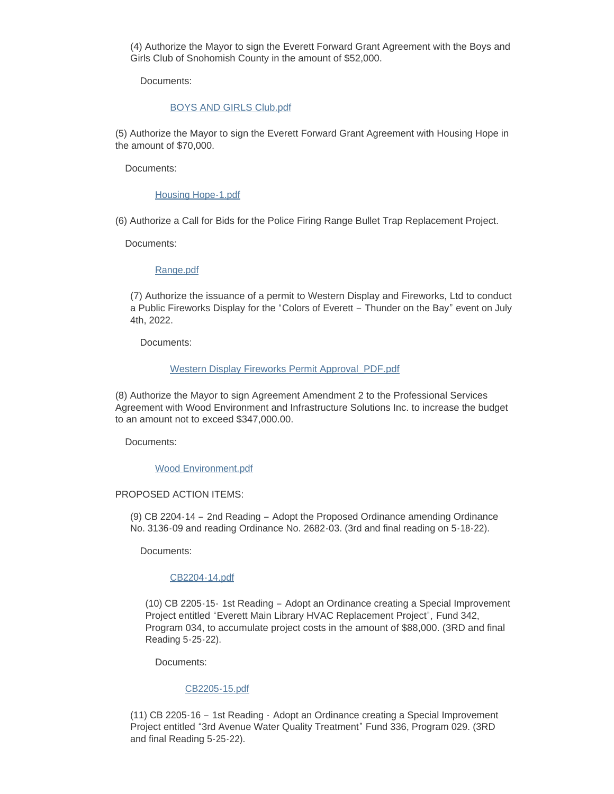(4) Authorize the Mayor to sign the Everett Forward Grant Agreement with the Boys and Girls Club of Snohomish County in the amount of \$52,000.

Documents:

#### [BOYS AND GIRLS Club.pdf](https://www.everettwa.gov/AgendaCenter/ViewFile/Item/13724?fileID=80867)

(5) Authorize the Mayor to sign the Everett Forward Grant Agreement with Housing Hope in the amount of \$70,000.

Documents:

#### [Housing Hope-1.pdf](https://www.everettwa.gov/AgendaCenter/ViewFile/Item/13725?fileID=80868)

(6) Authorize a Call for Bids for the Police Firing Range Bullet Trap Replacement Project.

Documents:

#### [Range.pdf](https://www.everettwa.gov/AgendaCenter/ViewFile/Item/13726?fileID=80869)

(7) Authorize the issuance of a permit to Western Display and Fireworks, Ltd to conduct a Public Fireworks Display for the "Colors of Everett – Thunder on the Bay" event on July 4th, 2022.

Documents:

#### [Western Display Fireworks Permit Approval\\_PDF.pdf](https://www.everettwa.gov/AgendaCenter/ViewFile/Item/13727?fileID=80883)

(8) Authorize the Mayor to sign Agreement Amendment 2 to the Professional Services Agreement with Wood Environment and Infrastructure Solutions Inc. to increase the budget to an amount not to exceed \$347,000.00.

Documents:

[Wood Environment.pdf](https://www.everettwa.gov/AgendaCenter/ViewFile/Item/13728?fileID=80871)

#### PROPOSED ACTION ITEMS:

(9) CB 2204-14 – 2nd Reading – Adopt the Proposed Ordinance amending Ordinance No. 3136-09 and reading Ordinance No. 2682-03. (3rd and final reading on 5-18-22).

Documents:

#### [CB2204-14.pdf](https://www.everettwa.gov/AgendaCenter/ViewFile/Item/13729?fileID=80872)

(10) CB 2205-15- 1st Reading – Adopt an Ordinance creating a Special Improvement Project entitled "Everett Main Library HVAC Replacement Project", Fund 342, Program 034, to accumulate project costs in the amount of \$88,000. (3RD and final Reading 5-25-22).

Documents:

#### [CB2205-15.pdf](https://www.everettwa.gov/AgendaCenter/ViewFile/Item/13730?fileID=80873)

(11) CB 2205-16 – 1st Reading - Adopt an Ordinance creating a Special Improvement Project entitled "3rd Avenue Water Quality Treatment" Fund 336, Program 029. (3RD and final Reading 5-25-22).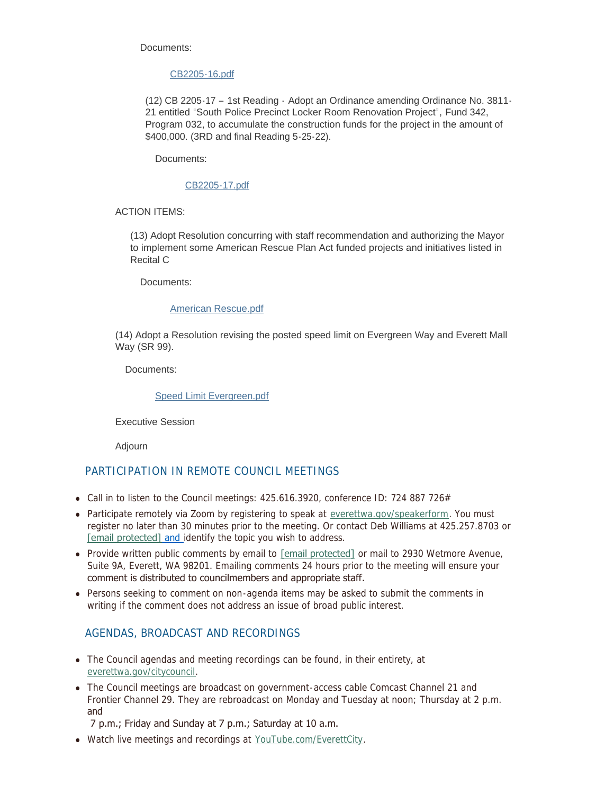Documents:

#### [CB2205-16.pdf](https://www.everettwa.gov/AgendaCenter/ViewFile/Item/13731?fileID=80874)

(12) CB 2205-17 – 1st Reading - Adopt an Ordinance amending Ordinance No. 3811- 21 entitled "South Police Precinct Locker Room Renovation Project", Fund 342, Program 032, to accumulate the construction funds for the project in the amount of \$400,000. (3RD and final Reading 5-25-22).

Documents:

#### [CB2205-17.pdf](https://www.everettwa.gov/AgendaCenter/ViewFile/Item/13732?fileID=80875)

ACTION ITEMS:

(13) Adopt Resolution concurring with staff recommendation and authorizing the Mayor to implement some American Rescue Plan Act funded projects and initiatives listed in Recital C

Documents:

#### [American Rescue.pdf](https://www.everettwa.gov/AgendaCenter/ViewFile/Item/13749?fileID=80878)

(14) Adopt a Resolution revising the posted speed limit on Evergreen Way and Everett Mall Way (SR 99).

Documents:

#### [Speed Limit Evergreen.pdf](https://www.everettwa.gov/AgendaCenter/ViewFile/Item/13734?fileID=80877)

Executive Session

Adjourn

## PARTICIPATION IN REMOTE COUNCIL MEETINGS

- Call in to listen to the Council meetings:  $425.616.3920$ , conference ID: 724 887 726#
- Participate remotely via Zoom by registering to speak at [everettwa.gov/speakerform](http://everettwa.gov/speakerform). You must [register no later th](https://www.everettwa.gov/cdn-cgi/l/email-protection#8de9fae4e1e1e4ece0fecde8fbe8ffe8f9f9faeca3eae2fb)an 30 minutes prior to the meeting. Or contact Deb Williams at 425.257.8703 or [email protected] and identify the topic you wish to address.
- Provide written public comments by email to [\[email protected\]](https://www.everettwa.gov/cdn-cgi/l/email-protection) or mail to 2930 Wetmore Avenue, Suite 9A, Everett, WA 98201. Emailing comments 24 hours prior to the meeting will ensure your comment is distributed to councilmembers and appropriate staff.
- Persons seeking to comment on non-agenda items may be asked to submit the comments in writing if the comment does not address an issue of broad public interest.

### AGENDAS, BROADCAST AND RECORDINGS

- [The Council agendas and](http://everettwa.gov/citycouncil) meeting recordings can be found, in their entirety, at everettwa.gov/citycouncil.
- The Council meetings are broadcast on government-access cable Comcast Channel 21 and Frontier Channel 29. They are rebroadcast on Monday and Tuesday at noon; Thursday at 2 p.m. and

#### 7 p.m.; Friday and Sunday at 7 p.m.; Saturday at 10 a.m.

• Watch live meetings and recordings at [YouTube.com/EverettCity](http://youtube.com/everettcity).